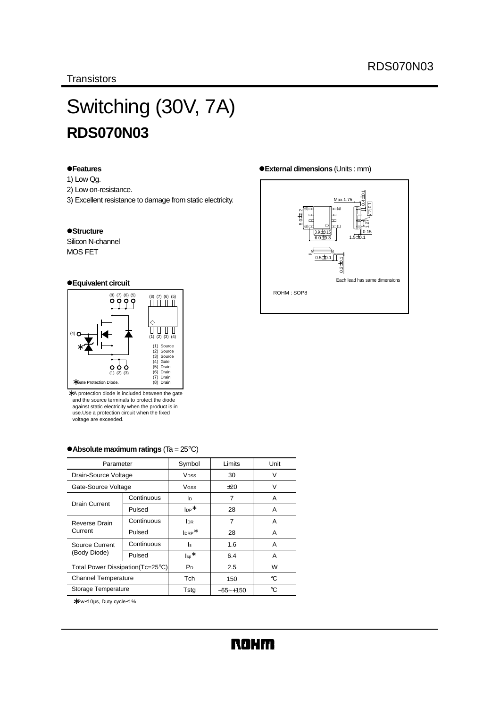# Switching (30V, 7A) **RDS070N03**

#### z**Features**

- 1) Low Qg.
- 2) Low on-resistance.
- 3) Excellent resistance to damage from static electricity.

#### $\bullet$ **Structure**

Silicon N-channel MOS FET

#### z**Equivalent circuit**



∗ A protection diode is included between the gate and the source terminals to protect the diode against static electricity when the product is in use.Use a protection circuit when the fixed voltage are exceeded.

| Parameter                         |            | Symbol                 | Limits      | Unit   |
|-----------------------------------|------------|------------------------|-------------|--------|
| Drain-Source Voltage              |            | <b>V<sub>DSS</sub></b> | 30          | $\vee$ |
| Gate-Source Voltage               |            | VGSS                   | $+20$       | $\vee$ |
|                                   | Continuous | ID                     | 7           | A      |
| Drain Current                     | Pulsed     | $Ine^*$                | 28          | Α      |
| Reverse Drain                     | Continuous | <b>IDR</b>             | 7           | A      |
| Current                           | Pulsed     | $I_{\text{DRP}}$ *     | 28          | Α      |
| Source Current                    | Continuous | ls                     | 1.6         | Α      |
| (Body Diode)                      | Pulsed     | $\mathsf{Iso}^*$       | 6.4         | A      |
| Total Power Dissipation (Tc=25°C) |            | P <sub>D</sub>         | 2.5         | W      |
| <b>Channel Temperature</b>        |            | Tch                    | 150         | °C     |
| Storage Temperature               |            | Tsta                   | $-55$ ~+150 | °C     |

#### z**Absolute maximum ratings** (Ta = 25°C)

∗Pw≤10µs, Duty cycle≤1%

#### z**External dimensions** (Units : mm)

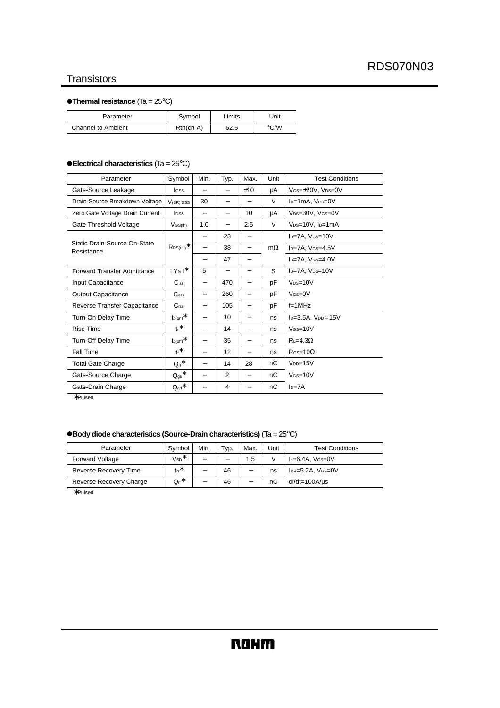#### **Transistors**

#### z**Thermal resistance** (Ta = 25°C)

| Parameter                 | Symbol      | Limits | Jnit |
|---------------------------|-------------|--------|------|
| <b>Channel to Ambient</b> | $Rth(ch-A)$ | 62.5   | °C/W |

#### z**Electrical characteristics** (Ta = 25°C)

| Parameter                                  | Symbol                                        | Min.                     | Typ.                     | Max.                     | Unit      | <b>Test Conditions</b>                    |
|--------------------------------------------|-----------------------------------------------|--------------------------|--------------------------|--------------------------|-----------|-------------------------------------------|
| Gate-Source Leakage                        | <b>I</b> GSS                                  |                          |                          | ±10                      | μA        | VGS=±20V, VDS=0V                          |
| Drain-Source Breakdown Voltage             | V <sub>(BR)</sub> DSS                         | 30                       | -                        |                          | V         | l <sub>D</sub> =1mA, V <sub>GS</sub> =0V  |
| Zero Gate Voltage Drain Current            | <b>l</b> pss                                  | $\overline{\phantom{0}}$ | -                        | 10                       | μA        | V <sub>DS</sub> =30V, V <sub>GS</sub> =0V |
| Gate Threshold Voltage                     | $V$ <sub>GS(th)</sub>                         | 1.0                      | -                        | 2.5                      | V         | V <sub>DS</sub> =10V, l <sub>D</sub> =1mA |
|                                            |                                               | -                        | 23                       | $\qquad \qquad -$        |           | I <sub>D</sub> =7A, V <sub>GS</sub> =10V  |
| Static Drain-Source On-State<br>Resistance | $\mathsf{RDS}(\mathsf{on})^*$                 | -                        | 38                       | $\qquad \qquad -$        | $m\Omega$ | I <sub>D</sub> =7A, V <sub>GS</sub> =4.5V |
|                                            |                                               | -                        | 47                       | $\overline{\phantom{0}}$ |           | $I_D = 7A$ , $V_{GS} = 4.0V$              |
| <b>Forward Transfer Admittance</b>         | $ Y_{fs} ^*$                                  | 5                        | $\overline{\phantom{0}}$ | -                        | S         | I <sub>D</sub> =7A, V <sub>DS</sub> =10V  |
| Input Capacitance                          | $C$ <sub>iss</sub>                            | $\qquad \qquad$          | 470                      | -                        | рF        | $V_{DS}=10V$                              |
| <b>Output Capacitance</b>                  | $\mathrm{C}_{\mathrm{oss}}$                   | -                        | 260                      | $\qquad \qquad -$        | pF        | $V$ $s = 0V$                              |
| Reverse Transfer Capacitance               | C <sub>rss</sub>                              | $\overline{\phantom{0}}$ | 105                      | $\qquad \qquad -$        | рF        | $f=1MHz$                                  |
| Turn-On Delay Time                         | $\mathsf{t}_{\mathsf{d}(\mathsf{on})}$ $\ast$ | -                        | 10                       | $\overline{\phantom{0}}$ | ns        | $I_D=3.5A$ , $V_{DD}=15V$                 |
| <b>Rise Time</b>                           | $t^*$                                         | $\qquad \qquad$          | 14                       | $\overline{\phantom{0}}$ | ns        | $V$ <sub>GS=10</sub> $V$                  |
| <b>Turn-Off Delay Time</b>                 | $t_{d(\text{off})}$ *                         | $\qquad \qquad$          | 35                       | $\qquad \qquad -$        | ns        | $R = 4.3\Omega$                           |
| Fall Time                                  | $t_f$ *                                       | $\qquad \qquad -$        | 12                       | -                        | ns        | $R$ as = 10 $\Omega$                      |
| <b>Total Gate Charge</b>                   | $Q_g$ *                                       | $\overline{\phantom{0}}$ | 14                       | 28                       | nС        | $VDD=15V$                                 |
| Gate-Source Charge                         | $Q_{gs}$ *                                    | -                        | $\overline{2}$           | -                        | nС        | $V$ <sub>GS=10</sub> $V$                  |
| Gate-Drain Charge                          | $Q_{\text{qd}}$ *                             |                          | $\overline{4}$           |                          | nC        | $ID=7A$                                   |

∗Pulsed

#### z**Body diode characteristics (Source-Drain characteristics)** (Ta = 25°C)

| Parameter                    | Symbol                       | Min.                     | Typ. | Max.                     | Unit | <b>Test Conditions</b>    |
|------------------------------|------------------------------|--------------------------|------|--------------------------|------|---------------------------|
| <b>Forward Voltage</b>       | $V_{SD}$ *                   | $\overline{\phantom{0}}$ | -    | 1.5                      |      | $Is=6.4A$ . $V$ $s=0$ V   |
| <b>Reverse Recovery Time</b> | $tr^*$                       | $\overline{\phantom{0}}$ | 46   | $\overline{\phantom{0}}$ | ns   | $IDR = 5.2A$ , $VGS = 0V$ |
| Reverse Recovery Charge      | $\mathsf{Q}_\mathsf{rr}{}^*$ | $\overline{\phantom{0}}$ | 46   | -                        | nC   | $di/dt = 100A/us$         |

∗Pulsed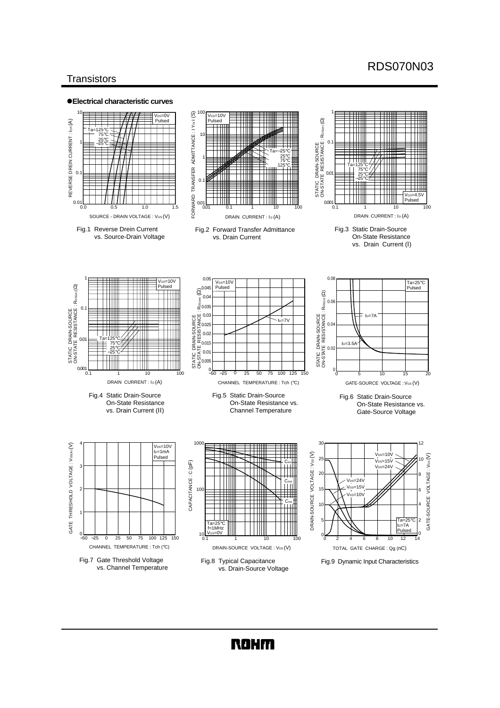### RDS070N03

#### **Transistors**



**ROHM**